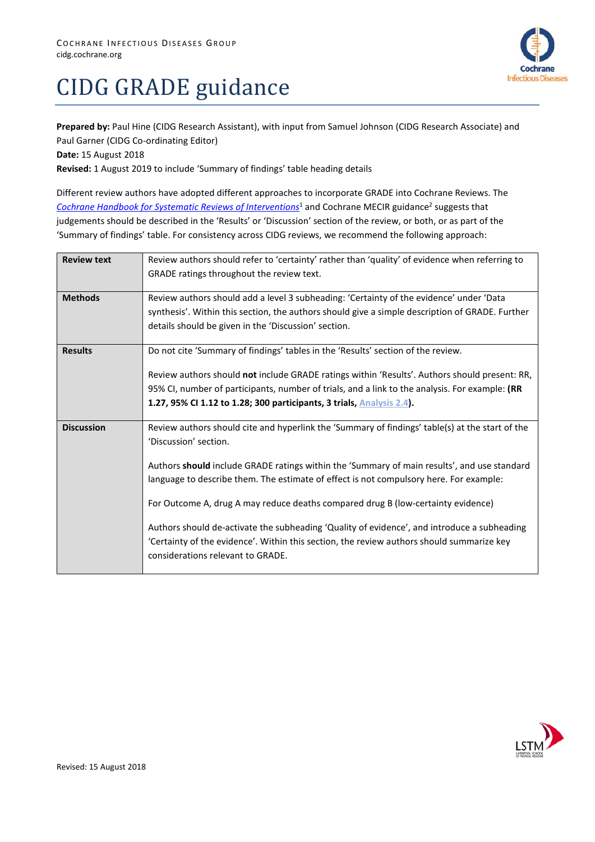

## CIDG GRADE guidance

**Prepared by:** Paul Hine (CIDG Research Assistant), with input from Samuel Johnson (CIDG Research Associate) and Paul Garner (CIDG Co-ordinating Editor)

**Date:** 15 August 2018

**Revised:** 1 August 2019 to include 'Summary of findings' table heading details

Different review authors have adopted different approaches to incorporate GRADE into Cochrane Reviews. The *[Cochrane Handbook for Systematic Reviews of Interventions](https://training.cochrane.org/handbook)<sup>1</sup>* and Cochrane MECIR guidance<sup>2</sup> suggests that judgements should be described in the 'Results' or 'Discussion' section of the review, or both, or as part of the 'Summary of findings' table. For consistency across CIDG reviews, we recommend the following approach:

| <b>Review text</b> | Review authors should refer to 'certainty' rather than 'quality' of evidence when referring to<br>GRADE ratings throughout the review text. |  |  |  |  |  |
|--------------------|---------------------------------------------------------------------------------------------------------------------------------------------|--|--|--|--|--|
|                    |                                                                                                                                             |  |  |  |  |  |
| <b>Methods</b>     | Review authors should add a level 3 subheading: 'Certainty of the evidence' under 'Data                                                     |  |  |  |  |  |
|                    | synthesis'. Within this section, the authors should give a simple description of GRADE. Further                                             |  |  |  |  |  |
|                    | details should be given in the 'Discussion' section.                                                                                        |  |  |  |  |  |
| <b>Results</b>     | Do not cite 'Summary of findings' tables in the 'Results' section of the review.                                                            |  |  |  |  |  |
|                    | Review authors should not include GRADE ratings within 'Results'. Authors should present: RR,                                               |  |  |  |  |  |
|                    | 95% CI, number of participants, number of trials, and a link to the analysis. For example: (RR                                              |  |  |  |  |  |
|                    | 1.27, 95% CI 1.12 to 1.28; 300 participants, 3 trials, Analysis 2.4).                                                                       |  |  |  |  |  |
|                    |                                                                                                                                             |  |  |  |  |  |
| <b>Discussion</b>  | Review authors should cite and hyperlink the 'Summary of findings' table(s) at the start of the                                             |  |  |  |  |  |
|                    | 'Discussion' section.                                                                                                                       |  |  |  |  |  |
|                    | Authors should include GRADE ratings within the 'Summary of main results', and use standard                                                 |  |  |  |  |  |
|                    | language to describe them. The estimate of effect is not compulsory here. For example:                                                      |  |  |  |  |  |
|                    |                                                                                                                                             |  |  |  |  |  |
|                    | For Outcome A, drug A may reduce deaths compared drug B (low-certainty evidence)                                                            |  |  |  |  |  |
|                    | Authors should de-activate the subheading 'Quality of evidence', and introduce a subheading                                                 |  |  |  |  |  |
|                    | 'Certainty of the evidence'. Within this section, the review authors should summarize key                                                   |  |  |  |  |  |
|                    | considerations relevant to GRADE.                                                                                                           |  |  |  |  |  |
|                    |                                                                                                                                             |  |  |  |  |  |

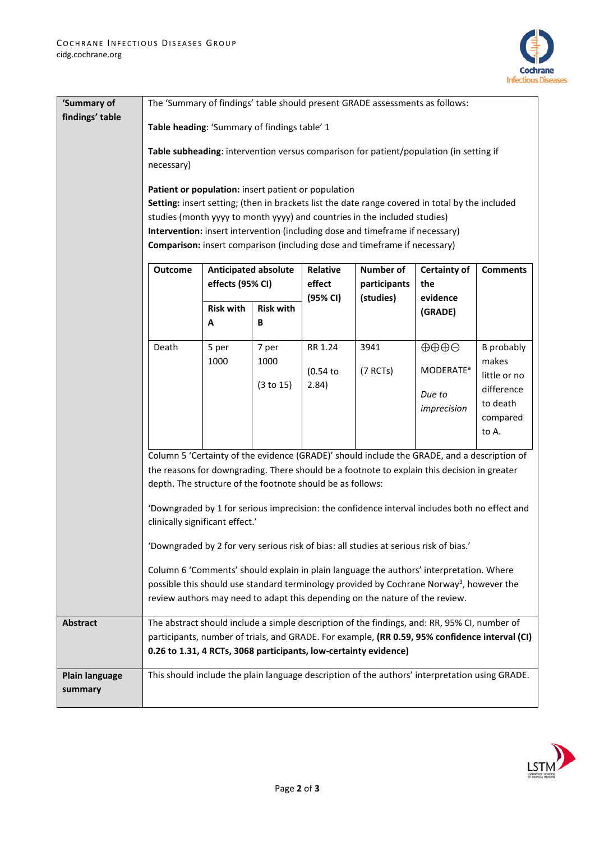

| 'Summary of<br>findings' table | The 'Summary of findings' table should present GRADE assessments as follows:                                                                                                                                                                                                                                                                                                                                |                                                                           |                  |          |                  |                                                                                                |                            |  |  |
|--------------------------------|-------------------------------------------------------------------------------------------------------------------------------------------------------------------------------------------------------------------------------------------------------------------------------------------------------------------------------------------------------------------------------------------------------------|---------------------------------------------------------------------------|------------------|----------|------------------|------------------------------------------------------------------------------------------------|----------------------------|--|--|
|                                | Table heading: 'Summary of findings table' 1                                                                                                                                                                                                                                                                                                                                                                |                                                                           |                  |          |                  |                                                                                                |                            |  |  |
|                                | Table subheading: intervention versus comparison for patient/population (in setting if<br>necessary)                                                                                                                                                                                                                                                                                                        |                                                                           |                  |          |                  |                                                                                                |                            |  |  |
|                                |                                                                                                                                                                                                                                                                                                                                                                                                             |                                                                           |                  |          |                  |                                                                                                |                            |  |  |
|                                |                                                                                                                                                                                                                                                                                                                                                                                                             | Patient or population: insert patient or population                       |                  |          |                  |                                                                                                |                            |  |  |
|                                | Setting: insert setting; (then in brackets list the date range covered in total by the included                                                                                                                                                                                                                                                                                                             |                                                                           |                  |          |                  |                                                                                                |                            |  |  |
|                                | studies (month yyyy to month yyyy) and countries in the included studies)<br>Intervention: insert intervention (including dose and timeframe if necessary)                                                                                                                                                                                                                                                  |                                                                           |                  |          |                  |                                                                                                |                            |  |  |
|                                |                                                                                                                                                                                                                                                                                                                                                                                                             | Comparison: insert comparison (including dose and timeframe if necessary) |                  |          |                  |                                                                                                |                            |  |  |
|                                | <b>Outcome</b><br><b>Anticipated absolute</b>                                                                                                                                                                                                                                                                                                                                                               |                                                                           |                  | Relative | <b>Number of</b> | <b>Certainty of</b>                                                                            | <b>Comments</b>            |  |  |
|                                |                                                                                                                                                                                                                                                                                                                                                                                                             | effects (95% CI)                                                          |                  | effect   | participants     | the                                                                                            |                            |  |  |
|                                |                                                                                                                                                                                                                                                                                                                                                                                                             | <b>Risk with</b>                                                          | <b>Risk with</b> | (95% CI) | (studies)        | evidence<br>(GRADE)                                                                            |                            |  |  |
|                                |                                                                                                                                                                                                                                                                                                                                                                                                             | Α                                                                         | В                |          |                  |                                                                                                |                            |  |  |
|                                | Death                                                                                                                                                                                                                                                                                                                                                                                                       | 5 per                                                                     | 7 per            | RR 1.24  | 3941             | $\oplus \oplus \oplus \ominus$                                                                 | <b>B</b> probably          |  |  |
|                                |                                                                                                                                                                                                                                                                                                                                                                                                             | 1000                                                                      | 1000             | (0.54)   | (7 RCTs)         | <b>MODERATE<sup>a</sup></b>                                                                    | makes                      |  |  |
|                                |                                                                                                                                                                                                                                                                                                                                                                                                             |                                                                           | (3 to 15)        | 2.84)    |                  |                                                                                                | little or no<br>difference |  |  |
|                                |                                                                                                                                                                                                                                                                                                                                                                                                             |                                                                           |                  |          |                  | Due to                                                                                         | to death                   |  |  |
|                                |                                                                                                                                                                                                                                                                                                                                                                                                             |                                                                           |                  |          |                  | imprecision                                                                                    | compared                   |  |  |
|                                |                                                                                                                                                                                                                                                                                                                                                                                                             |                                                                           |                  |          |                  |                                                                                                | to A.                      |  |  |
|                                | Column 5 'Certainty of the evidence (GRADE)' should include the GRADE, and a description of                                                                                                                                                                                                                                                                                                                 |                                                                           |                  |          |                  |                                                                                                |                            |  |  |
|                                | the reasons for downgrading. There should be a footnote to explain this decision in greater<br>depth. The structure of the footnote should be as follows:                                                                                                                                                                                                                                                   |                                                                           |                  |          |                  |                                                                                                |                            |  |  |
|                                |                                                                                                                                                                                                                                                                                                                                                                                                             |                                                                           |                  |          |                  |                                                                                                |                            |  |  |
|                                |                                                                                                                                                                                                                                                                                                                                                                                                             |                                                                           |                  |          |                  | 'Downgraded by 1 for serious imprecision: the confidence interval includes both no effect and  |                            |  |  |
|                                | clinically significant effect.'<br>'Downgraded by 2 for very serious risk of bias: all studies at serious risk of bias.'<br>Column 6 'Comments' should explain in plain language the authors' interpretation. Where<br>possible this should use standard terminology provided by Cochrane Norway <sup>3</sup> , however the<br>review authors may need to adapt this depending on the nature of the review. |                                                                           |                  |          |                  |                                                                                                |                            |  |  |
|                                |                                                                                                                                                                                                                                                                                                                                                                                                             |                                                                           |                  |          |                  |                                                                                                |                            |  |  |
|                                |                                                                                                                                                                                                                                                                                                                                                                                                             |                                                                           |                  |          |                  |                                                                                                |                            |  |  |
|                                |                                                                                                                                                                                                                                                                                                                                                                                                             |                                                                           |                  |          |                  |                                                                                                |                            |  |  |
|                                |                                                                                                                                                                                                                                                                                                                                                                                                             |                                                                           |                  |          |                  |                                                                                                |                            |  |  |
| <b>Abstract</b>                |                                                                                                                                                                                                                                                                                                                                                                                                             |                                                                           |                  |          |                  | The abstract should include a simple description of the findings, and: RR, 95% CI, number of   |                            |  |  |
|                                | participants, number of trials, and GRADE. For example, (RR 0.59, 95% confidence interval (CI)<br>0.26 to 1.31, 4 RCTs, 3068 participants, low-certainty evidence)                                                                                                                                                                                                                                          |                                                                           |                  |          |                  |                                                                                                |                            |  |  |
| <b>Plain language</b>          |                                                                                                                                                                                                                                                                                                                                                                                                             |                                                                           |                  |          |                  | This should include the plain language description of the authors' interpretation using GRADE. |                            |  |  |
| summary                        |                                                                                                                                                                                                                                                                                                                                                                                                             |                                                                           |                  |          |                  |                                                                                                |                            |  |  |
|                                |                                                                                                                                                                                                                                                                                                                                                                                                             |                                                                           |                  |          |                  |                                                                                                |                            |  |  |